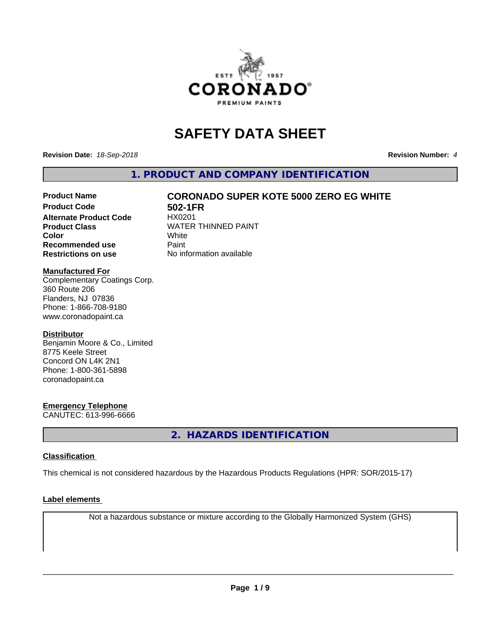

# **SAFETY DATA SHEET**

**Revision Date:** *18-Sep-2018* **Revision Number:** *4*

**1. PRODUCT AND COMPANY IDENTIFICATION**

# **Product Name CORONADO SUPER KOTE 5000 ZERO EG WHITE**

**Product Code 61 502-1FR**<br>Alternate Product Code 61 HX0201 **Alternate Product Code Recommended use** Paint **Restrictions on use** No information available

**Product Class** WATER THINNED PAINT<br>
Color **Color** White White

# **Manufactured For**

Complementary Coatings Corp. 360 Route 206 Flanders, NJ 07836 Phone: 1-866-708-9180 www.coronadopaint.ca

# **Distributor**

Benjamin Moore & Co., Limited 8775 Keele Street Concord ON L4K 2N1 Phone: 1-800-361-5898 coronadopaint.ca

# **Emergency Telephone**

CANUTEC: 613-996-6666

**2. HAZARDS IDENTIFICATION**

# **Classification**

This chemical is not considered hazardous by the Hazardous Products Regulations (HPR: SOR/2015-17)

# **Label elements**

Not a hazardous substance or mixture according to the Globally Harmonized System (GHS)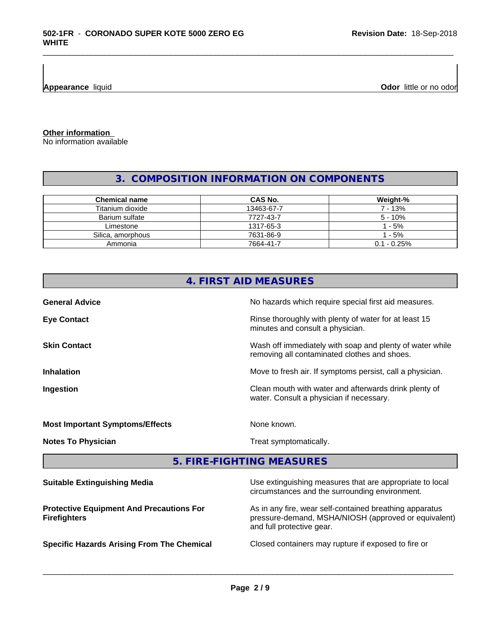**Appearance** liquid **Odor 11** and **Odor 11** and **Odor 11** and **Odor 11** and **Odor Odor 1** and **Odor 1** and **Odor 1** and **Odor 1** and **Odor 1** and **0** and **1 and 1 and 1 and 1 and 1 and 1 a** 

**Other information**

No information available

# **3. COMPOSITION INFORMATION ON COMPONENTS**

\_\_\_\_\_\_\_\_\_\_\_\_\_\_\_\_\_\_\_\_\_\_\_\_\_\_\_\_\_\_\_\_\_\_\_\_\_\_\_\_\_\_\_\_\_\_\_\_\_\_\_\_\_\_\_\_\_\_\_\_\_\_\_\_\_\_\_\_\_\_\_\_\_\_\_\_\_\_\_\_\_\_\_\_\_\_\_\_\_\_\_\_\_

| <b>Chemical name</b> | <b>CAS No.</b> | Weight-%      |
|----------------------|----------------|---------------|
| Titanium dioxide     | 13463-67-7     | 7 - 13%       |
| Barium sulfate       | 7727-43-7      | $5 - 10%$     |
| Limestone            | 1317-65-3      | ' - 5%        |
| Silica, amorphous    | 7631-86-9      | $1 - 5%$      |
| Ammonia              | 7664-41-7      | $0.1 - 0.25%$ |

| 4. FIRST AID MEASURES                  |                                                                                                          |  |  |  |
|----------------------------------------|----------------------------------------------------------------------------------------------------------|--|--|--|
| <b>General Advice</b>                  | No hazards which require special first aid measures.                                                     |  |  |  |
| <b>Eye Contact</b>                     | Rinse thoroughly with plenty of water for at least 15<br>minutes and consult a physician.                |  |  |  |
| <b>Skin Contact</b>                    | Wash off immediately with soap and plenty of water while<br>removing all contaminated clothes and shoes. |  |  |  |
| <b>Inhalation</b>                      | Move to fresh air. If symptoms persist, call a physician.                                                |  |  |  |
| Ingestion                              | Clean mouth with water and afterwards drink plenty of<br>water. Consult a physician if necessary.        |  |  |  |
| <b>Most Important Symptoms/Effects</b> | None known.                                                                                              |  |  |  |
| <b>Notes To Physician</b>              | Treat symptomatically.                                                                                   |  |  |  |

**5. FIRE-FIGHTING MEASURES**

| Use extinguishing measures that are appropriate to local<br>circumstances and the surrounding environment.                                   |
|----------------------------------------------------------------------------------------------------------------------------------------------|
| As in any fire, wear self-contained breathing apparatus<br>pressure-demand, MSHA/NIOSH (approved or equivalent)<br>and full protective gear. |
| Closed containers may rupture if exposed to fire or                                                                                          |
|                                                                                                                                              |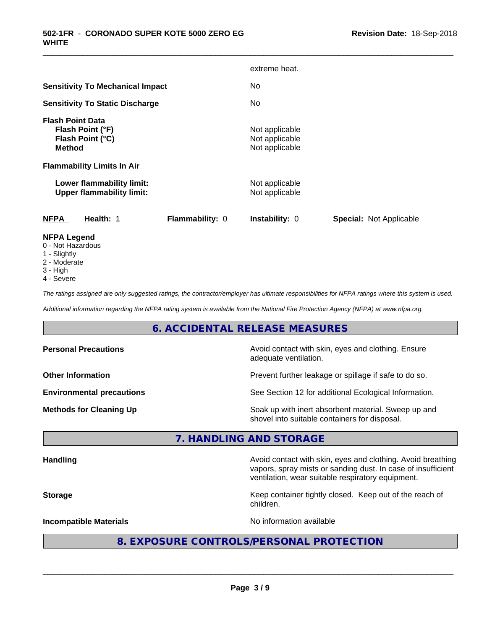|                                                                                  |                        | extreme heat.                                      |                                |
|----------------------------------------------------------------------------------|------------------------|----------------------------------------------------|--------------------------------|
| <b>Sensitivity To Mechanical Impact</b>                                          |                        | No.                                                |                                |
| <b>Sensitivity To Static Discharge</b>                                           |                        | No.                                                |                                |
| <b>Flash Point Data</b><br>Flash Point (°F)<br>Flash Point (°C)<br><b>Method</b> |                        | Not applicable<br>Not applicable<br>Not applicable |                                |
| <b>Flammability Limits In Air</b>                                                |                        |                                                    |                                |
| Lower flammability limit:<br><b>Upper flammability limit:</b>                    |                        | Not applicable<br>Not applicable                   |                                |
| <b>NFPA</b><br>Health: 1                                                         | <b>Flammability: 0</b> | Instability: 0                                     | <b>Special: Not Applicable</b> |
| <b>NFPA Legend</b><br>0 - Not Hazardous                                          |                        |                                                    |                                |

\_\_\_\_\_\_\_\_\_\_\_\_\_\_\_\_\_\_\_\_\_\_\_\_\_\_\_\_\_\_\_\_\_\_\_\_\_\_\_\_\_\_\_\_\_\_\_\_\_\_\_\_\_\_\_\_\_\_\_\_\_\_\_\_\_\_\_\_\_\_\_\_\_\_\_\_\_\_\_\_\_\_\_\_\_\_\_\_\_\_\_\_\_

- 1 Slightly
- 2 Moderate
- 3 High
- 4 Severe

*The ratings assigned are only suggested ratings, the contractor/employer has ultimate responsibilities for NFPA ratings where this system is used.*

*Additional information regarding the NFPA rating system is available from the National Fire Protection Agency (NFPA) at www.nfpa.org.*

# **6. ACCIDENTAL RELEASE MEASURES**

| <b>Personal Precautions</b>      | Avoid contact with skin, eyes and clothing. Ensure<br>adequate ventilation.                          |
|----------------------------------|------------------------------------------------------------------------------------------------------|
| <b>Other Information</b>         | Prevent further leakage or spillage if safe to do so.                                                |
| <b>Environmental precautions</b> | See Section 12 for additional Ecological Information.                                                |
| <b>Methods for Cleaning Up</b>   | Soak up with inert absorbent material. Sweep up and<br>shovel into suitable containers for disposal. |

# **7. HANDLING AND STORAGE**

| <b>Handling</b> |  |
|-----------------|--|
|                 |  |

**Handling** Avoid contact with skin, eyes and clothing. Avoid breathing vapors, spray mists or sanding dust. In case of insufficient ventilation, wear suitable respiratory equipment.

**Storage Keep container tightly closed. Keep out of the reach of Keep** container tightly closed. Keep out of the reach of children.

**Incompatible Materials Incompatible Materials No information available** 

 $\overline{\phantom{a}}$  ,  $\overline{\phantom{a}}$  ,  $\overline{\phantom{a}}$  ,  $\overline{\phantom{a}}$  ,  $\overline{\phantom{a}}$  ,  $\overline{\phantom{a}}$  ,  $\overline{\phantom{a}}$  ,  $\overline{\phantom{a}}$  ,  $\overline{\phantom{a}}$  ,  $\overline{\phantom{a}}$  ,  $\overline{\phantom{a}}$  ,  $\overline{\phantom{a}}$  ,  $\overline{\phantom{a}}$  ,  $\overline{\phantom{a}}$  ,  $\overline{\phantom{a}}$  ,  $\overline{\phantom{a}}$ 

# **8. EXPOSURE CONTROLS/PERSONAL PROTECTION**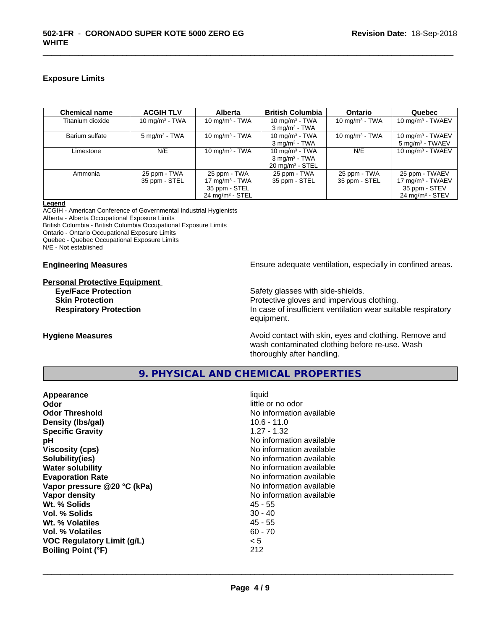# **Exposure Limits**

| <b>Chemical name</b> | <b>ACGIH TLV</b>         | <b>Alberta</b>             | <b>British Columbia</b>    | <b>Ontario</b>    | Quebec                        |
|----------------------|--------------------------|----------------------------|----------------------------|-------------------|-------------------------------|
| Titanium dioxide     | 10 mg/m $3$ - TWA        | 10 mg/m $3$ - TWA          | 10 mg/m $3$ - TWA          | 10 mg/m $3$ - TWA | 10 mg/m $3$ - TWAEV           |
|                      |                          |                            | $3 \text{ mg/m}^3$ - TWA   |                   |                               |
| Barium sulfate       | $5 \text{ mg/m}^3$ - TWA | 10 mg/m <sup>3</sup> - TWA | 10 mg/m $3$ - TWA          | 10 mg/m $3$ - TWA | 10 mg/m $3$ - TWAEV           |
|                      |                          |                            | $3 \text{ mg/m}^3$ - TWA   |                   | $5 \text{ mg/m}^3$ - TWAEV    |
| Limestone            | N/E                      | 10 mg/m $3$ - TWA          | 10 mg/m $3$ - TWA          | N/E               | 10 mg/m $3$ - TWAEV           |
|                      |                          |                            | $3 \text{ mg/m}^3$ - TWA   |                   |                               |
|                      |                          |                            | $20 \text{ mg/m}^3$ - STEL |                   |                               |
| Ammonia              | 25 ppm - TWA             | 25 ppm - TWA               | 25 ppm - TWA               | 25 ppm - TWA      | 25 ppm - TWAEV                |
|                      | 35 ppm - STEL            | 17 mg/m $3$ - TWA          | 35 ppm - STEL              | 35 ppm - STEL     | 17 $mq/m3$ - TWAEV            |
|                      |                          | 35 ppm - STEL              |                            |                   | 35 ppm - STEV                 |
|                      |                          | $24 \text{ ma/m}^3$ - STEL |                            |                   | $24$ mg/m <sup>3</sup> - STEV |

\_\_\_\_\_\_\_\_\_\_\_\_\_\_\_\_\_\_\_\_\_\_\_\_\_\_\_\_\_\_\_\_\_\_\_\_\_\_\_\_\_\_\_\_\_\_\_\_\_\_\_\_\_\_\_\_\_\_\_\_\_\_\_\_\_\_\_\_\_\_\_\_\_\_\_\_\_\_\_\_\_\_\_\_\_\_\_\_\_\_\_\_\_

**Legend**

ACGIH - American Conference of Governmental Industrial Hygienists Alberta - Alberta Occupational Exposure Limits British Columbia - British Columbia Occupational Exposure Limits Ontario - Ontario Occupational Exposure Limits Quebec - Quebec Occupational Exposure Limits N/E - Not established

# **Personal Protective Equipment**

# **Engineering Measures Ensure** Ensure adequate ventilation, especially in confined areas.

**Eye/Face Protection** Safety glasses with side-shields. **Skin Protection Protection Protective gloves and impervious clothing. Respiratory Protection In case of insufficient ventilation wear suitable respiratory** equipment.

**Hygiene Measures Avoid contact with skin, eyes and clothing. Remove and Avoid contact with skin, eyes and clothing. Remove and** wash contaminated clothing before re-use. Wash thoroughly after handling.

# **9. PHYSICAL AND CHEMICAL PROPERTIES**

| Appearance                        | liquid                   |
|-----------------------------------|--------------------------|
| Odor                              | little or no odor        |
| <b>Odor Threshold</b>             | No information available |
| Density (Ibs/gal)                 | $10.6 - 11.0$            |
| <b>Specific Gravity</b>           | $1.27 - 1.32$            |
| рH                                | No information available |
| <b>Viscosity (cps)</b>            | No information available |
| Solubility(ies)                   | No information available |
| <b>Water solubility</b>           | No information available |
| <b>Evaporation Rate</b>           | No information available |
| Vapor pressure @20 °C (kPa)       | No information available |
| Vapor density                     | No information available |
| Wt. % Solids                      | 45 - 55                  |
| Vol. % Solids                     | $30 - 40$                |
| Wt. % Volatiles                   | 45 - 55                  |
| Vol. % Volatiles                  | $60 - 70$                |
| <b>VOC Regulatory Limit (g/L)</b> | < 5                      |
| <b>Boiling Point (°F)</b>         | 212                      |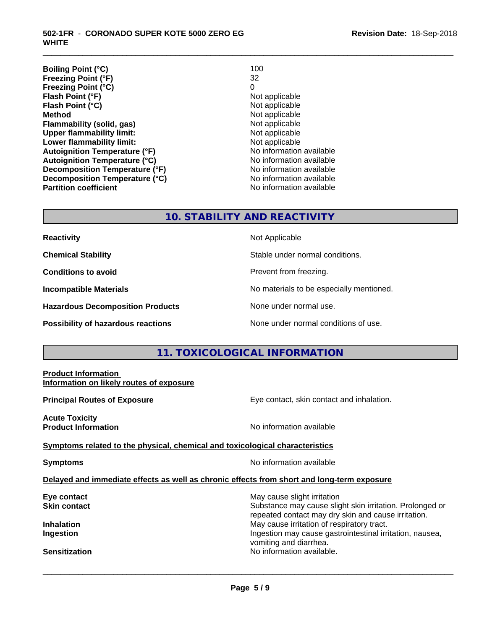| <b>Boiling Point (°C)</b>            | 100                      |
|--------------------------------------|--------------------------|
| <b>Freezing Point (°F)</b>           | 32                       |
| <b>Freezing Point (°C)</b>           | 0                        |
| Flash Point (°F)                     | Not applicable           |
| Flash Point (°C)                     | Not applicable           |
| <b>Method</b>                        | Not applicable           |
| Flammability (solid, gas)            | Not applicable           |
| <b>Upper flammability limit:</b>     | Not applicable           |
| Lower flammability limit:            | Not applicable           |
| <b>Autoignition Temperature (°F)</b> | No information available |
| <b>Autoignition Temperature (°C)</b> | No information available |
| Decomposition Temperature (°F)       | No information available |
| Decomposition Temperature (°C)       | No information available |
| <b>Partition coefficient</b>         | No information available |

\_\_\_\_\_\_\_\_\_\_\_\_\_\_\_\_\_\_\_\_\_\_\_\_\_\_\_\_\_\_\_\_\_\_\_\_\_\_\_\_\_\_\_\_\_\_\_\_\_\_\_\_\_\_\_\_\_\_\_\_\_\_\_\_\_\_\_\_\_\_\_\_\_\_\_\_\_\_\_\_\_\_\_\_\_\_\_\_\_\_\_\_\_

# **10. STABILITY AND REACTIVITY**

**Hazardous Decomposition Products** None under normal use.

**Reactivity** Not Applicable

**Chemical Stability Chemical Stability** Stable under normal conditions.

**Conditions to avoid Conditions reading**.

**Incompatible Materials No materials** No materials to be especially mentioned.

**Possibility of hazardous reactions** None under normal conditions of use.

# **11. TOXICOLOGICAL INFORMATION**

| <b>Product Information</b><br>Information on likely routes of exposure                     |                                                                                                                                                |
|--------------------------------------------------------------------------------------------|------------------------------------------------------------------------------------------------------------------------------------------------|
| <b>Principal Routes of Exposure</b>                                                        | Eye contact, skin contact and inhalation.                                                                                                      |
| <b>Acute Toxicity</b><br><b>Product Information</b>                                        | No information available                                                                                                                       |
| Symptoms related to the physical, chemical and toxicological characteristics               |                                                                                                                                                |
| <b>Symptoms</b>                                                                            | No information available                                                                                                                       |
| Delayed and immediate effects as well as chronic effects from short and long-term exposure |                                                                                                                                                |
| Eye contact<br>Skin contact                                                                | May cause slight irritation<br>Substance may cause slight skin irritation. Prolonged or<br>repeated contact may dry skin and cause irritation. |
| Inhalation<br>Ingestion                                                                    | May cause irritation of respiratory tract.<br>Ingestion may cause gastrointestinal irritation, nausea,<br>vomiting and diarrhea.               |
| Sensitization                                                                              | No information available.                                                                                                                      |
|                                                                                            |                                                                                                                                                |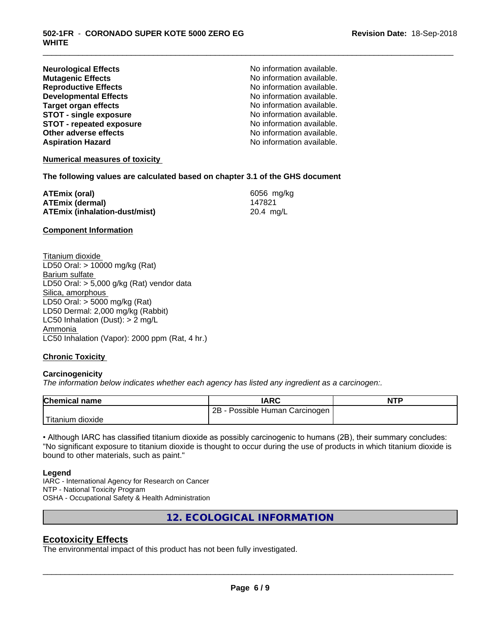No information available. No information available. **No information available.** No information available. No information available. **STOT - single exposure** No information available. **STOT - repeated exposure** No information available. No information available. No information available.

\_\_\_\_\_\_\_\_\_\_\_\_\_\_\_\_\_\_\_\_\_\_\_\_\_\_\_\_\_\_\_\_\_\_\_\_\_\_\_\_\_\_\_\_\_\_\_\_\_\_\_\_\_\_\_\_\_\_\_\_\_\_\_\_\_\_\_\_\_\_\_\_\_\_\_\_\_\_\_\_\_\_\_\_\_\_\_\_\_\_\_\_\_

#### **Numerical measures of toxicity**

**The following values are calculated based on chapter 3.1 of the GHS document**

| <b>ATEmix (oral)</b>          | 6056 mg/ka |
|-------------------------------|------------|
| <b>ATEmix (dermal)</b>        | 147821     |
| ATEmix (inhalation-dust/mist) | 20.4 mg/L  |

**Component Information**

Titanium dioxide LD50 Oral: > 10000 mg/kg (Rat) Barium sulfate LD50 Oral: > 5,000 g/kg (Rat) vendor data Silica, amorphous LD50 Oral: > 5000 mg/kg (Rat) LD50 Dermal: 2,000 mg/kg (Rabbit) LC50 Inhalation (Dust): > 2 mg/L Ammonia LC50 Inhalation (Vapor): 2000 ppm (Rat, 4 hr.)

# **Chronic Toxicity**

# **Carcinogenicity**

*The information below indicateswhether each agency has listed any ingredient as a carcinogen:.*

| <b>Chemical name</b> | <b>IARC</b>                        | <b>NTP</b> |
|----------------------|------------------------------------|------------|
|                      | 2B<br>Possible Human<br>Carcinogen |            |
| 'Titanium<br>dioxide |                                    |            |

• Although IARC has classified titanium dioxide as possibly carcinogenic to humans (2B), their summary concludes: "No significant exposure to titanium dioxide is thought to occur during the use of products in which titanium dioxide is bound to other materials, such as paint."

#### **Legend**

IARC - International Agency for Research on Cancer NTP - National Toxicity Program OSHA - Occupational Safety & Health Administration

**12. ECOLOGICAL INFORMATION**

# **Ecotoxicity Effects**

The environmental impact of this product has not been fully investigated.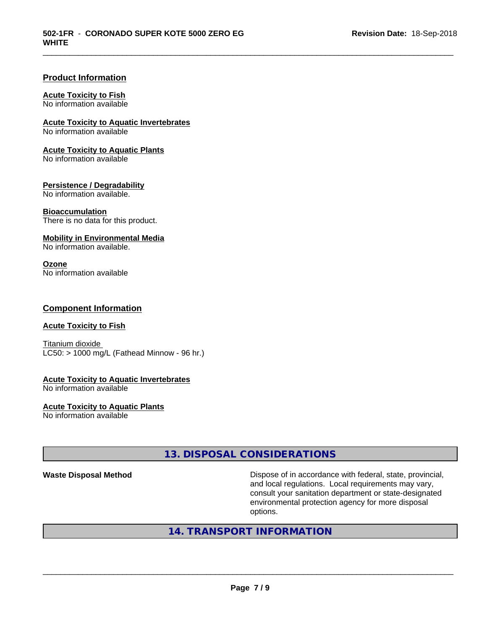\_\_\_\_\_\_\_\_\_\_\_\_\_\_\_\_\_\_\_\_\_\_\_\_\_\_\_\_\_\_\_\_\_\_\_\_\_\_\_\_\_\_\_\_\_\_\_\_\_\_\_\_\_\_\_\_\_\_\_\_\_\_\_\_\_\_\_\_\_\_\_\_\_\_\_\_\_\_\_\_\_\_\_\_\_\_\_\_\_\_\_\_\_

# **Product Information**

# **Acute Toxicity to Fish**

No information available

# **Acute Toxicity to Aquatic Invertebrates**

No information available

#### **Acute Toxicity to Aquatic Plants**

No information available

# **Persistence / Degradability**

No information available.

# **Bioaccumulation**

There is no data for this product.

# **Mobility in Environmental Media**

No information available.

#### **Ozone**

No information available

# **Component Information**

# **Acute Toxicity to Fish**

Titanium dioxide  $LC50:$  > 1000 mg/L (Fathead Minnow - 96 hr.)

# **Acute Toxicity to Aquatic Invertebrates**

No information available

# **Acute Toxicity to Aquatic Plants**

No information available

# **13. DISPOSAL CONSIDERATIONS**

**Waste Disposal Method Dispose of in accordance with federal, state, provincial,** and local regulations. Local requirements may vary, consult your sanitation department or state-designated environmental protection agency for more disposal options.

# **14. TRANSPORT INFORMATION**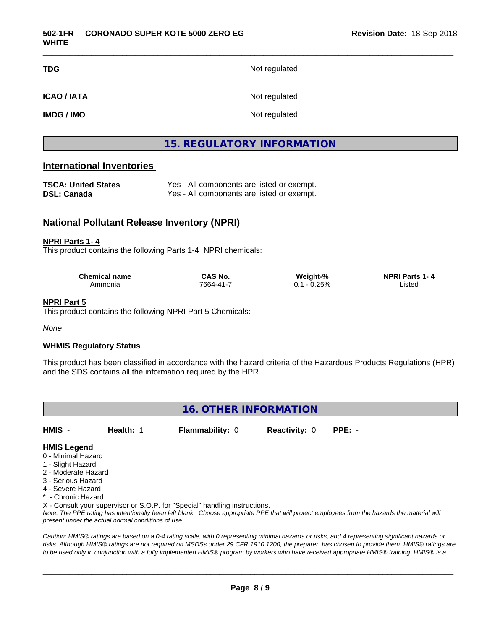| <b>TDG</b>         | Not regulated |
|--------------------|---------------|
| <b>ICAO / IATA</b> | Not regulated |
| <b>IMDG / IMO</b>  | Not regulated |

# **15. REGULATORY INFORMATION**

\_\_\_\_\_\_\_\_\_\_\_\_\_\_\_\_\_\_\_\_\_\_\_\_\_\_\_\_\_\_\_\_\_\_\_\_\_\_\_\_\_\_\_\_\_\_\_\_\_\_\_\_\_\_\_\_\_\_\_\_\_\_\_\_\_\_\_\_\_\_\_\_\_\_\_\_\_\_\_\_\_\_\_\_\_\_\_\_\_\_\_\_\_

# **International Inventories**

| <b>TSCA: United States</b> | Yes - All components are listed or exempt. |
|----------------------------|--------------------------------------------|
| <b>DSL: Canada</b>         | Yes - All components are listed or exempt. |

# **National Pollutant Release Inventory (NPRI)**

#### **NPRI Parts 1- 4**

This product contains the following Parts 1-4 NPRI chemicals:

|           | Weight-%<br><b>NPRI Parts 1-4</b> |
|-----------|-----------------------------------|
| 7664-41-7 | 0.25%                             |
| Ammonia   | ∟ısted                            |

#### **NPRI Part 5**

This product contains the following NPRI Part 5 Chemicals:

*None*

# **WHMIS Regulatory Status**

This product has been classified in accordance with the hazard criteria of the Hazardous Products Regulations (HPR) and the SDS contains all the information required by the HPR.

| <b>16. OTHER INFORMATION</b>                                                                                                                                                                                |           |                                                                            |                      |                                                                                                                                               |  |
|-------------------------------------------------------------------------------------------------------------------------------------------------------------------------------------------------------------|-----------|----------------------------------------------------------------------------|----------------------|-----------------------------------------------------------------------------------------------------------------------------------------------|--|
| HMIS -                                                                                                                                                                                                      | Health: 1 | <b>Flammability: 0</b>                                                     | <b>Reactivity: 0</b> | $PPE: -$                                                                                                                                      |  |
| <b>HMIS Legend</b><br>0 - Minimal Hazard<br>1 - Slight Hazard<br>2 - Moderate Hazard<br>3 - Serious Hazard<br>4 - Severe Hazard<br>* - Chronic Hazard<br>present under the actual normal conditions of use. |           | X - Consult your supervisor or S.O.P. for "Special" handling instructions. |                      | Note: The PPE rating has intentionally been left blank. Choose appropriate PPE that will protect employees from the hazards the material will |  |

*Caution: HMISÒ ratings are based on a 0-4 rating scale, with 0 representing minimal hazards or risks, and 4 representing significant hazards or risks. Although HMISÒ ratings are not required on MSDSs under 29 CFR 1910.1200, the preparer, has chosen to provide them. HMISÒ ratings are to be used only in conjunction with a fully implemented HMISÒ program by workers who have received appropriate HMISÒ training. HMISÒ is a*